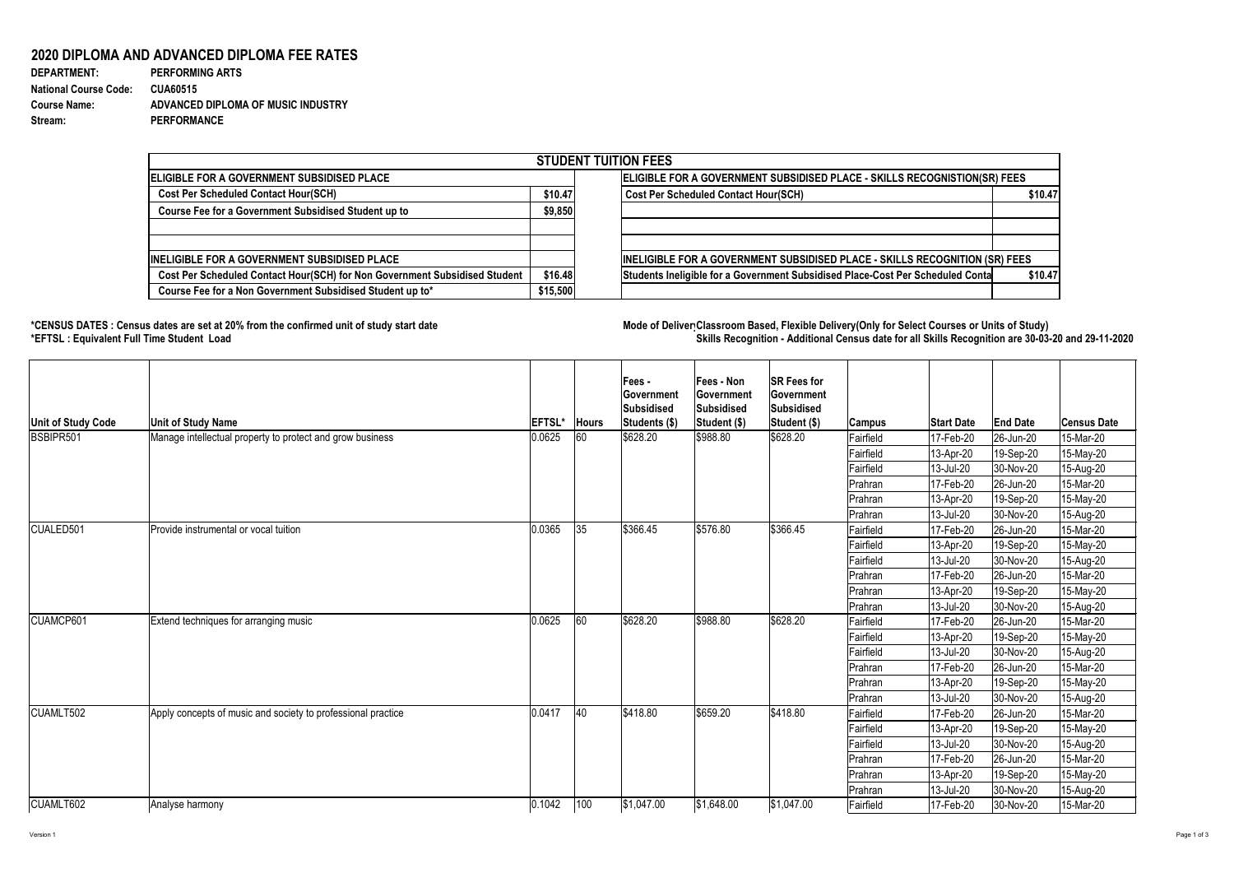Version 1 Page 1 of 3

## **2020 DIPLOMA AND ADVANCED DIPLOMA FEE RATES**

| <b>DEPARTMENT:</b>           | <b>PERFORMING ARTS</b>             |
|------------------------------|------------------------------------|
| <b>National Course Code:</b> | <b>CUA60515</b>                    |
| <b>Course Name:</b>          | ADVANCED DIPLOMA OF MUSIC INDUSTRY |
| Stream:                      | <b>PERFORMANCE</b>                 |

## **\*CENSUS DATES : Census dates are set at 20% from the confirmed unit of study start date Mode of DeliveryClassroom Based, Flexible Delivery(Only for Select Courses or Units of Study) \*EFTSL : Equivalent Full Time Student Load Skills Recognition - Additional Census date for all Skills Recognition are 30-03-20 and 29-11-2020**



| <b>STUDENT TUITION FEES</b>                                                |          |                                                                                |         |  |  |  |  |  |
|----------------------------------------------------------------------------|----------|--------------------------------------------------------------------------------|---------|--|--|--|--|--|
| ELIGIBLE FOR A GOVERNMENT SUBSIDISED PLACE                                 |          | ELIGIBLE FOR A GOVERNMENT SUBSIDISED PLACE - SKILLS RECOGNISTION(SR) FEES      |         |  |  |  |  |  |
| <b>Cost Per Scheduled Contact Hour(SCH)</b>                                |          | Cost Per Scheduled Contact Hour(SCH)                                           | \$10.47 |  |  |  |  |  |
| <b>Course Fee for a Government Subsidised Student up to</b>                | \$9,850  |                                                                                |         |  |  |  |  |  |
|                                                                            |          |                                                                                |         |  |  |  |  |  |
| <b>INELIGIBLE FOR A GOVERNMENT SUBSIDISED PLACE</b>                        |          | INELIGIBLE FOR A GOVERNMENT SUBSIDISED PLACE - SKILLS RECOGNITION (SR) FEES    |         |  |  |  |  |  |
| Cost Per Scheduled Contact Hour(SCH) for Non Government Subsidised Student | \$16.48  | Students Ineligible for a Government Subsidised Place-Cost Per Scheduled Conta | \$10.47 |  |  |  |  |  |
| Course Fee for a Non Government Subsidised Student up to*                  | \$15,500 |                                                                                |         |  |  |  |  |  |

| Unit of Study Code | <b>Unit of Study Name</b>                                    | <b>EFTSL*</b> | Hours | <b>Fees-</b><br><b>Government</b><br>Subsidised<br>Students (\$) | <b>Fees - Non</b><br><b>Sovernment</b><br>Subsidised<br>Student (\$) | <b>SR Fees for</b><br><b>Government</b><br>Subsidised<br>Student (\$) | Campus           | <b>Start Date</b> | <b>End Date</b>        | <b>Census Date</b> |
|--------------------|--------------------------------------------------------------|---------------|-------|------------------------------------------------------------------|----------------------------------------------------------------------|-----------------------------------------------------------------------|------------------|-------------------|------------------------|--------------------|
| BSBIPR501          | Manage intellectual property to protect and grow business    | 0.0625        | 60    | \$628.20                                                         | \$988.80                                                             | \$628.20                                                              | Fairfield        | 17-Feb-20         | 26-Jun-20              | 15-Mar-20          |
|                    |                                                              |               |       |                                                                  |                                                                      |                                                                       | Fairfield        | 13-Apr-20         | 19-Sep-20              | 15-May-20          |
|                    |                                                              |               |       |                                                                  |                                                                      |                                                                       | Fairfield        | 13-Jul-20         | 30-Nov-20              | 15-Aug-20          |
|                    |                                                              |               |       |                                                                  |                                                                      |                                                                       | Prahran          | 17-Feb-20         | 26-Jun-20              | 15-Mar-20          |
|                    |                                                              |               |       |                                                                  |                                                                      |                                                                       | Prahran          | 13-Apr-20         | 19-Sep-20              | 15-May-20          |
|                    |                                                              |               |       |                                                                  |                                                                      |                                                                       | Prahran          | 13-Jul-20         | 30-Nov-20              | 15-Aug-20          |
| CUALED501          | Provide instrumental or vocal tuition                        | 0.0365        | 35    | \$366.45                                                         | \$576.80                                                             | \$366.45                                                              | Fairfield        | 17-Feb-20         | $ 26 - Jun - 20 $      | 15-Mar-20          |
|                    |                                                              |               |       |                                                                  |                                                                      |                                                                       | Fairfield        | 13-Apr-20         | $ 19 - \text{Sep-}20 $ | 15-May-20          |
|                    |                                                              |               |       |                                                                  |                                                                      |                                                                       | <b>Fairfield</b> | 13-Jul-20         | 30-Nov-20              | 15-Aug-20          |
|                    |                                                              |               |       |                                                                  |                                                                      |                                                                       | Prahran          | 17-Feb-20         | $ 26 - Jun - 20 $      | 15-Mar-20          |
|                    |                                                              |               |       |                                                                  |                                                                      |                                                                       | Prahran          | 13-Apr-20         | 19-Sep-20              | 15-May-20          |
|                    |                                                              |               |       |                                                                  |                                                                      |                                                                       | Prahran          | 13-Jul-20         | 30-Nov-20              | 15-Aug-20          |
| CUAMCP601          | Extend techniques for arranging music                        | 0.0625        | 60    | \$628.20                                                         | \$988.80                                                             | \$628.20                                                              | Fairfield        | 17-Feb-20         | $ 26 - Jun - 20 $      | 15-Mar-20          |
|                    |                                                              |               |       |                                                                  |                                                                      |                                                                       | Fairfield        | 13-Apr-20         | 19-Sep-20              | 15-May-20          |
|                    |                                                              |               |       |                                                                  |                                                                      |                                                                       | Fairfield        | 13-Jul-20         | 30-Nov-20              | 15-Aug-20          |
|                    |                                                              |               |       |                                                                  |                                                                      |                                                                       | Prahran          | 17-Feb-20         | 26-Jun-20              | 15-Mar-20          |
|                    |                                                              |               |       |                                                                  |                                                                      |                                                                       | Prahran          | 13-Apr-20         | 19-Sep-20              | 15-May-20          |
|                    |                                                              |               |       |                                                                  |                                                                      |                                                                       | Prahran          | 13-Jul-20         | 30-Nov-20              | 15-Aug-20          |
| CUAMLT502          | Apply concepts of music and society to professional practice | 0.0417        | 40    | \$418.80                                                         | \$659.20                                                             | \$418.80                                                              | Fairfield        | 17-Feb-20         | 26-Jun-20              | 15-Mar-20          |
|                    |                                                              |               |       |                                                                  |                                                                      |                                                                       | Fairfield        | 13-Apr-20         | 19-Sep-20              | 15-May-20          |
|                    |                                                              |               |       |                                                                  |                                                                      |                                                                       | Fairfield        | 13-Jul-20         | 30-Nov-20              | 15-Aug-20          |
|                    |                                                              |               |       |                                                                  |                                                                      |                                                                       | Prahran          | 17-Feb-20         | 26-Jun-20              | 15-Mar-20          |
|                    |                                                              |               |       |                                                                  |                                                                      |                                                                       | <b>Prahran</b>   | 13-Apr-20         | 19-Sep-20              | 15-May-20          |
|                    |                                                              |               |       |                                                                  |                                                                      |                                                                       | Prahran          | 13-Jul-20         | 30-Nov-20              | 15-Aug-20          |
| CUAMLT602          | Analyse harmony                                              | 0.1042        | 100   | \$1,047.00                                                       | \$1,648.00                                                           | \$1,047.00                                                            | Fairfield        | 17-Feb-20         | $ 30-Nov-20 $          | 15-Mar-20          |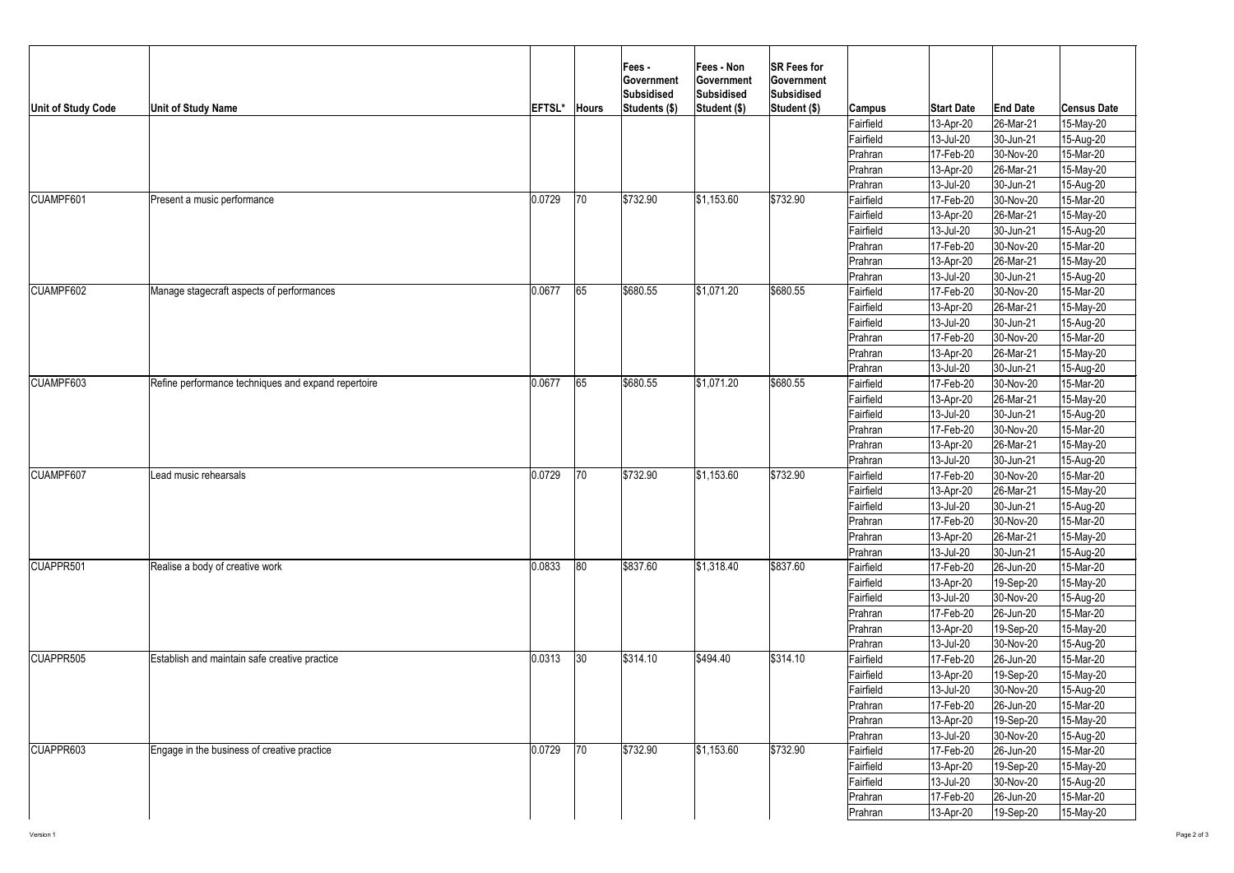

| <b>Unit of Study Code</b> | <b>Unit of Study Name</b>                            | EFTSL* | <b>Hours</b> | <b>Fees-</b><br><b>Sovernment</b><br>Subsidised<br>Students (\$) | <b>Fees - Non</b><br><b>Government</b><br>Subsidised<br>Student (\$) | <b>SR Fees for</b><br><b>Government</b><br>Subsidised<br>Student (\$) | <b>Campus</b> | <b>Start Date</b> | <b>End Date</b>   | <b>Census Date</b> |
|---------------------------|------------------------------------------------------|--------|--------------|------------------------------------------------------------------|----------------------------------------------------------------------|-----------------------------------------------------------------------|---------------|-------------------|-------------------|--------------------|
|                           |                                                      |        |              |                                                                  |                                                                      |                                                                       | Fairfield     | 13-Apr-20         | 26-Mar-21         | 15-May-20          |
|                           |                                                      |        |              |                                                                  |                                                                      |                                                                       | Fairfield     | 13-Jul-20         | 30-Jun-21         | 15-Aug-20          |
|                           |                                                      |        |              |                                                                  |                                                                      |                                                                       | Prahran       | 17-Feb-20         | 30-Nov-20         | 15-Mar-20          |
|                           |                                                      |        |              |                                                                  |                                                                      |                                                                       | Prahran       | 13-Apr-20         | $ 26$ -Mar-21     | 15-May-20          |
|                           |                                                      |        |              |                                                                  |                                                                      |                                                                       | Prahran       | 13-Jul-20         | 30-Jun-21         | 15-Aug-20          |
| CUAMPF601                 | Present a music performance                          | 0.0729 | 70           | \$732.90                                                         | \$1,153.60                                                           | \$732.90                                                              | Fairfield     | 17-Feb-20         | 30-Nov-20         | 15-Mar-20          |
|                           |                                                      |        |              |                                                                  |                                                                      |                                                                       | Fairfield     | $13-Apr-20$       | 26-Mar-21         | 15-May-20          |
|                           |                                                      |        |              |                                                                  |                                                                      |                                                                       | Fairfield     | 13-Jul-20         | 30-Jun-21         | 15-Aug-20          |
|                           |                                                      |        |              |                                                                  |                                                                      |                                                                       | Prahran       | 17-Feb-20         | 30-Nov-20         | 15-Mar-20          |
|                           |                                                      |        |              |                                                                  |                                                                      |                                                                       | Prahran       | 13-Apr-20         | $ 26$ -Mar-21     | 15-May-20          |
|                           |                                                      |        |              |                                                                  |                                                                      |                                                                       | Prahran       | 13-Jul-20         | $ 30 - Jun-21 $   | 15-Aug-20          |
| CUAMPF602                 | Manage stagecraft aspects of performances            | 0.0677 | 65           | \$680.55                                                         | \$1,071.20                                                           | \$680.55                                                              | Fairfield     | 17-Feb-20         | 30-Nov-20         | 15-Mar-20          |
|                           |                                                      |        |              |                                                                  |                                                                      |                                                                       | Fairfield     | 13-Apr-20         | 26-Mar-21         | 15-May-20          |
|                           |                                                      |        |              |                                                                  |                                                                      |                                                                       | Fairfield     | $ 13 -$ Jul-20    | $ 30 - Jun-21 $   | 15-Aug-20          |
|                           |                                                      |        |              |                                                                  |                                                                      |                                                                       | Prahran       | 17-Feb-20         | 30-Nov-20         | 15-Mar-20          |
|                           |                                                      |        |              |                                                                  |                                                                      |                                                                       | Prahran       | 13-Apr-20         | 26-Mar-21         | 15-May-20          |
|                           |                                                      |        |              |                                                                  |                                                                      |                                                                       | Prahran       | 13-Jul-20         | 30-Jun-21         | 15-Aug-20          |
| CUAMPF603                 | Refine performance techniques and expand repertoire  | 0.0677 | 65           | \$680.55                                                         | \$1,071.20                                                           | \$680.55                                                              | Fairfield     | 17-Feb-20         | 30-Nov-20         | 15-Mar-20          |
|                           |                                                      |        |              |                                                                  |                                                                      |                                                                       | Fairfield     | 13-Apr-20         | 26-Mar-21         | 15-May-20          |
|                           |                                                      |        |              |                                                                  |                                                                      |                                                                       | Fairfield     | 13-Jul-20         | 30-Jun-21         | 15-Aug-20          |
|                           |                                                      |        |              |                                                                  |                                                                      |                                                                       | Prahran       | 17-Feb-20         | 30-Nov-20         | 15-Mar-20          |
|                           |                                                      |        |              |                                                                  |                                                                      |                                                                       | Prahran       | 13-Apr-20         | 26-Mar-21         | 15-May-20          |
|                           |                                                      |        |              |                                                                  |                                                                      |                                                                       | Prahran       | 13-Jul-20         | 30-Jun-21         | 15-Aug-20          |
| CUAMPF607                 | Lead music rehearsals                                | 0.0729 | 70           | \$732.90                                                         | \$1,153.60                                                           | \$732.90                                                              | Fairfield     | 17-Feb-20         | 30-Nov-20         | 15-Mar-20          |
|                           |                                                      |        |              |                                                                  |                                                                      |                                                                       | Fairfield     | $13 - Apr-20$     | $ 26$ -Mar-21     | 15-May-20          |
|                           |                                                      |        |              |                                                                  |                                                                      |                                                                       | Fairfield     | 13-Jul-20         | $ 30 - Jun-21 $   | 15-Aug-20          |
|                           |                                                      |        |              |                                                                  |                                                                      |                                                                       | Prahran       | 17-Feb-20         | 30-Nov-20         | 15-Mar-20          |
|                           |                                                      |        |              |                                                                  |                                                                      |                                                                       | Prahran       | $ 13 - Apr - 20 $ | $ 26$ -Mar-21     | 15-May-20          |
|                           |                                                      |        |              |                                                                  |                                                                      |                                                                       | Prahran       | $ 13 -$ Jul-20    | $ 30 - Jun-21 $   | 15-Aug-20          |
| CUAPPR501                 | Realise a body of creative work                      | 0.0833 | 80           | \$837.60                                                         | \$1,318.40                                                           | \$837.60                                                              | Fairfield     | 17-Feb-20         | 26-Jun-20         | 15-Mar-20          |
|                           |                                                      |        |              |                                                                  |                                                                      |                                                                       | Fairfield     | 13-Apr-20         | 19-Sep-20         | 15-May-20          |
|                           |                                                      |        |              |                                                                  |                                                                      |                                                                       | Fairfield     | 13-Jul-20         | 30-Nov-20         | 15-Aug-20          |
|                           |                                                      |        |              |                                                                  |                                                                      |                                                                       | Prahran       | 17-Feb-20         | $ 26 - Jun - 20 $ | 15-Mar-20          |
|                           |                                                      |        |              |                                                                  |                                                                      |                                                                       | Prahran       | 13-Apr-20         | 19-Sep-20         | 15-May-20          |
|                           |                                                      |        |              |                                                                  |                                                                      |                                                                       | Prahran       | 13-Jul-20         | 30-Nov-20         | 15-Aug-20          |
| CUAPPR505                 | <b>Establish and maintain safe creative practice</b> | 0.0313 | 30           | \$314.10                                                         | \$494.40                                                             | \$314.10                                                              | Fairfield     | 17-Feb-20         | 26-Jun-20         | 15-Mar-20          |
|                           |                                                      |        |              |                                                                  |                                                                      |                                                                       | Fairfield     | 13-Apr-20         | 19-Sep-20         | 15-May-20          |
|                           |                                                      |        |              |                                                                  |                                                                      |                                                                       | Fairfield     | 13-Jul-20         | 30-Nov-20         | 15-Aug-20          |
|                           |                                                      |        |              |                                                                  |                                                                      |                                                                       | Prahran       | 17-Feb-20         | 26-Jun-20         | 15-Mar-20          |
|                           |                                                      |        |              |                                                                  |                                                                      |                                                                       | Prahran       | 13-Apr-20         | 19-Sep-20         | 15-May-20          |
|                           |                                                      |        |              |                                                                  |                                                                      |                                                                       | Prahran       | 13-Jul-20         | $ 30-Nov-20 $     | 15-Aug-20          |
| CUAPPR603                 | Engage in the business of creative practice          | 0.0729 | 70           | \$732.90                                                         | \$1,153.60                                                           | \$732.90                                                              | Fairfield     | 17-Feb-20         | 26-Jun-20         | 15-Mar-20          |
|                           |                                                      |        |              |                                                                  |                                                                      |                                                                       | Fairfield     | 13-Apr-20         | 19-Sep-20         | 15-May-20          |
|                           |                                                      |        |              |                                                                  |                                                                      |                                                                       | Fairfield     | 13-Jul-20         | 30-Nov-20         | 15-Aug-20          |
|                           |                                                      |        |              |                                                                  |                                                                      |                                                                       | Prahran       | 17-Feb-20         | 26-Jun-20         | 15-Mar-20          |
|                           |                                                      |        |              |                                                                  |                                                                      |                                                                       | Prahran       | $ 13 - Apr - 20 $ | 19-Sep-20         | 15-May-20          |